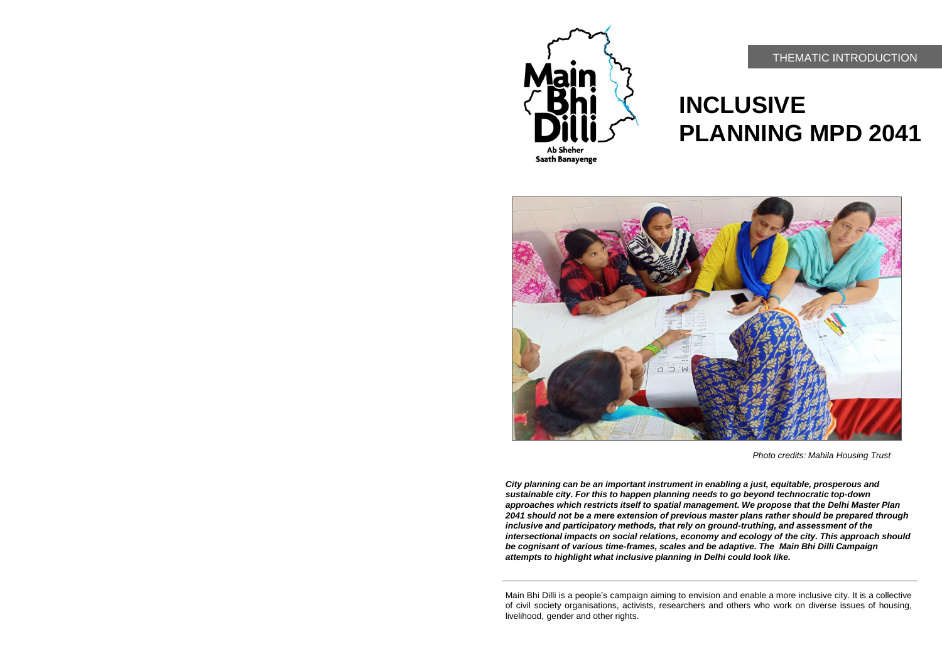# **INCLUSIVE PLANNING MPD 2041**

*Photo credits: Mahila Housing Trust*







*City planning can be an important instrument in enabling a just, equitable, prosperous and sustainable city. For this to happen planning needs to go beyond technocratic top-down approaches which restricts itself to spatial management. We propose that the Delhi Master Plan 2041 should not be a mere extension of previous master plans rather should be prepared through inclusive and participatory methods, that rely on ground-truthing, and assessment of the intersectional impacts on social relations, economy and ecology of the city. This approach should be cognisant of various time-frames, scales and be adaptive. The Main Bhi Dilli Campaign attempts to highlight what inclusive planning in Delhi could look like.* 

Main Bhi Dilli is a people's campaign aiming to envision and enable a more inclusive city. It is a collective of civil society organisations, activists, researchers and others who work on diverse issues of housing, livelihood, gender and other rights.